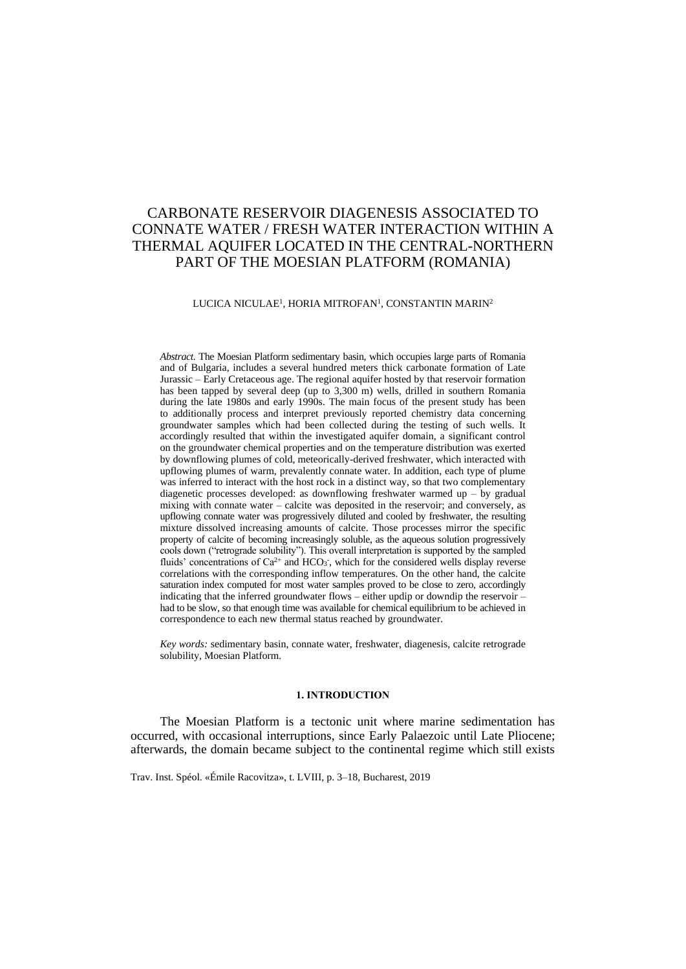# CARBONATE RESERVOIR DIAGENESIS ASSOCIATED TO CONNATE WATER / FRESH WATER INTERACTION WITHIN A THERMAL AQUIFER LOCATED IN THE CENTRAL-NORTHERN PART OF THE MOESIAN PLATFORM (ROMANIA)

#### LUCICA NICULAE<sup>1</sup>, HORIA MITROFAN<sup>1</sup>, CONSTANTIN MARIN<sup>2</sup>

*Abstract.* The Moesian Platform sedimentary basin, which occupies large parts of Romania and of Bulgaria, includes a several hundred meters thick carbonate formation of Late Jurassic – Early Cretaceous age. The regional aquifer hosted by that reservoir formation has been tapped by several deep (up to 3,300 m) wells, drilled in southern Romania during the late 1980s and early 1990s. The main focus of the present study has been to additionally process and interpret previously reported chemistry data concerning groundwater samples which had been collected during the testing of such wells. It accordingly resulted that within the investigated aquifer domain, a significant control on the groundwater chemical properties and on the temperature distribution was exerted by downflowing plumes of cold, meteorically-derived freshwater, which interacted with upflowing plumes of warm, prevalently connate water. In addition, each type of plume was inferred to interact with the host rock in a distinct way, so that two complementary diagenetic processes developed: as downflowing freshwater warmed up – by gradual mixing with connate water – calcite was deposited in the reservoir; and conversely, as upflowing connate water was progressively diluted and cooled by freshwater, the resulting mixture dissolved increasing amounts of calcite. Those processes mirror the specific property of calcite of becoming increasingly soluble, as the aqueous solution progressively cools down ("retrograde solubility"). This overall interpretation is supported by the sampled fluids' concentrations of  $Ca^{2+}$  and HCO<sub>3</sub>, which for the considered wells display reverse correlations with the corresponding inflow temperatures. On the other hand, the calcite saturation index computed for most water samples proved to be close to zero, accordingly indicating that the inferred groundwater flows – either updip or downdip the reservoir – had to be slow, so that enough time was available for chemical equilibrium to be achieved in correspondence to each new thermal status reached by groundwater.

*Key words:* sedimentary basin, connate water, freshwater, diagenesis, calcite retrograde solubility, Moesian Platform.

#### **1. INTRODUCTION**

The Moesian Platform is a tectonic unit where marine sedimentation has occurred, with occasional interruptions, since Early Palaezoic until Late Pliocene; afterwards, the domain became subject to the continental regime which still exists

Trav. Inst. Spéol. «Émile Racovitza», t. LVIII, p. 3–18, Bucharest, 2019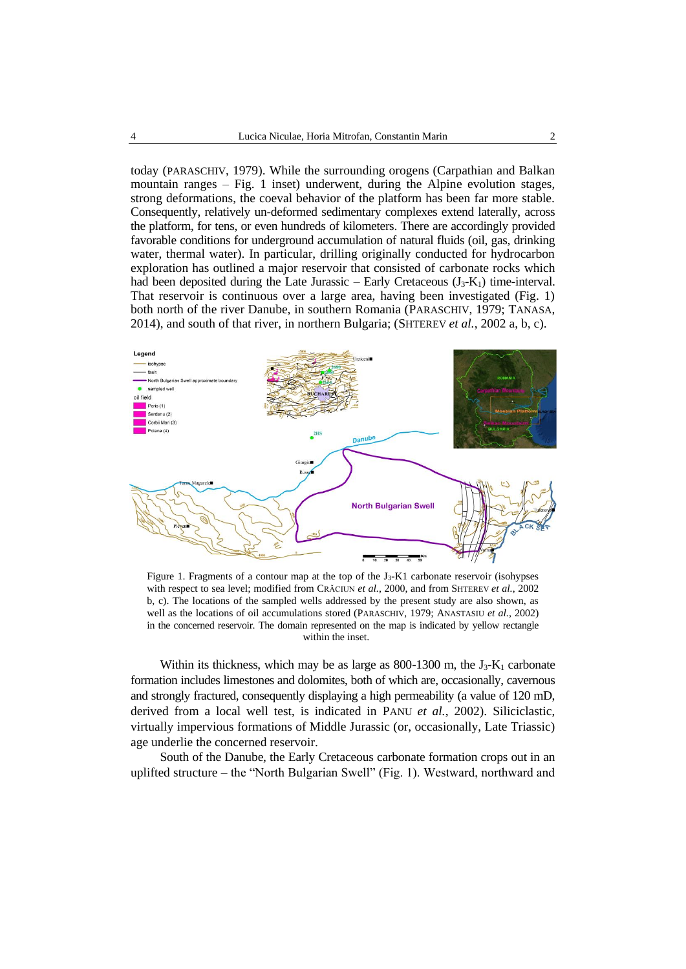today (PARASCHIV, 1979). While the surrounding orogens (Carpathian and Balkan mountain ranges  $-$  Fig. 1 inset) underwent, during the Alpine evolution stages, strong deformations, the coeval behavior of the platform has been far more stable. Consequently, relatively un-deformed sedimentary complexes extend laterally, across the platform, for tens, or even hundreds of kilometers. There are accordingly provided favorable conditions for underground accumulation of natural fluids (oil, gas, drinking water, thermal water). In particular, drilling originally conducted for hydrocarbon exploration has outlined a major reservoir that consisted of carbonate rocks which had been deposited during the Late Jurassic – Early Cretaceous  $(J_3-K_1)$  time-interval. That reservoir is continuous over a large area, having been investigated (Fig. 1) both north of the river Danube, in southern Romania (PARASCHIV, 1979; TANASA, 2014), and south of that river, in northern Bulgaria; (SHTEREV *et al.*, 2002 a, b, c).



Figure 1. Fragments of a contour map at the top of the J3-K1 carbonate reservoir (isohypses with respect to sea level; modified from CRĂCIUN *et al.*, 2000, and from SHTEREV *et al.*, 2002 b, c). The locations of the sampled wells addressed by the present study are also shown, as well as the locations of oil accumulations stored (PARASCHIV, 1979; ANASTASIU *et al.*, 2002) in the concerned reservoir. The domain represented on the map is indicated by yellow rectangle within the inset.

Within its thickness, which may be as large as 800-1300 m, the  $J_3-K_1$  carbonate formation includes limestones and dolomites, both of which are, occasionally, cavernous and strongly fractured, consequently displaying a high permeability (a value of 120 mD, derived from a local well test, is indicated in PANU *et al.*, 2002). Siliciclastic, virtually impervious formations of Middle Jurassic (or, occasionally, Late Triassic) age underlie the concerned reservoir.

South of the Danube, the Early Cretaceous carbonate formation crops out in an uplifted structure – the "North Bulgarian Swell" (Fig. 1). Westward, northward and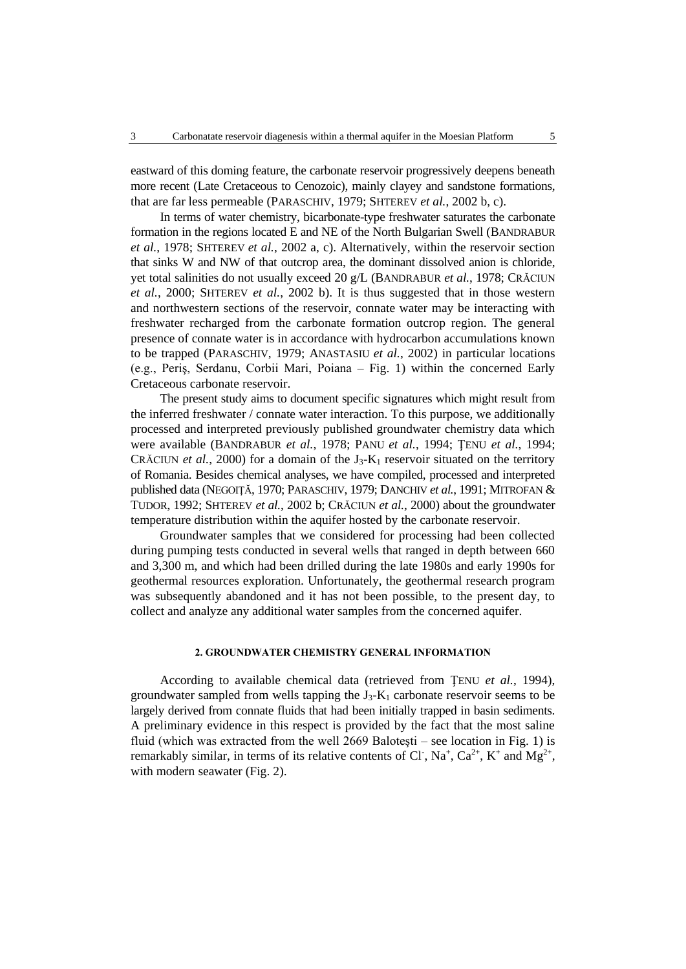eastward of this doming feature, the carbonate reservoir progressively deepens beneath more recent (Late Cretaceous to Cenozoic), mainly clayey and sandstone formations, that are far less permeable (PARASCHIV, 1979; SHTEREV *et al.*, 2002 b, c).

In terms of water chemistry, bicarbonate-type freshwater saturates the carbonate formation in the regions located E and NE of the North Bulgarian Swell (BANDRABUR *et al.*, 1978; SHTEREV *et al.*, 2002 a, c). Alternatively, within the reservoir section that sinks W and NW of that outcrop area, the dominant dissolved anion is chloride, yet total salinities do not usually exceed 20 g/L (BANDRABUR *et al.*, 1978; CRĂCIUN *et al.*, 2000; SHTEREV *et al.*, 2002 b). It is thus suggested that in those western and northwestern sections of the reservoir, connate water may be interacting with freshwater recharged from the carbonate formation outcrop region. The general presence of connate water is in accordance with hydrocarbon accumulations known to be trapped (PARASCHIV, 1979; ANASTASIU *et al.*, 2002) in particular locations (e.g., Periş, Serdanu, Corbii Mari, Poiana – Fig. 1) within the concerned Early Cretaceous carbonate reservoir.

The present study aims to document specific signatures which might result from the inferred freshwater / connate water interaction. To this purpose, we additionally processed and interpreted previously published groundwater chemistry data which were available (BANDRABUR *et al.*, 1978; PANU *et al.*, 1994; ŢENU *et al.*, 1994; CRĂCIUN *et al.*, 2000) for a domain of the  $J_3$ - $K_1$  reservoir situated on the territory of Romania. Besides chemical analyses, we have compiled, processed and interpreted published data (NEGOIŢĂ, 1970; PARASCHIV, 1979; DANCHIV *et al.*, 1991; MITROFAN & TUDOR, 1992; SHTEREV *et al.*, 2002 b; CRĂCIUN *et al.*, 2000) about the groundwater temperature distribution within the aquifer hosted by the carbonate reservoir.

Groundwater samples that we considered for processing had been collected during pumping tests conducted in several wells that ranged in depth between 660 and 3,300 m, and which had been drilled during the late 1980s and early 1990s for geothermal resources exploration. Unfortunately, the geothermal research program was subsequently abandoned and it has not been possible, to the present day, to collect and analyze any additional water samples from the concerned aquifer.

## **2. GROUNDWATER CHEMISTRY GENERAL INFORMATION**

According to available chemical data (retrieved from ŢENU *et al.*, 1994), groundwater sampled from wells tapping the  $J_3-K_1$  carbonate reservoir seems to be largely derived from connate fluids that had been initially trapped in basin sediments. A preliminary evidence in this respect is provided by the fact that the most saline fluid (which was extracted from the well 2669 Baloteşti – see location in Fig. 1) is remarkably similar, in terms of its relative contents of Cl,  $Na^+$ ,  $Ca^{2+}$ ,  $K^+$  and  $Mg^{2+}$ , with modern seawater (Fig. 2).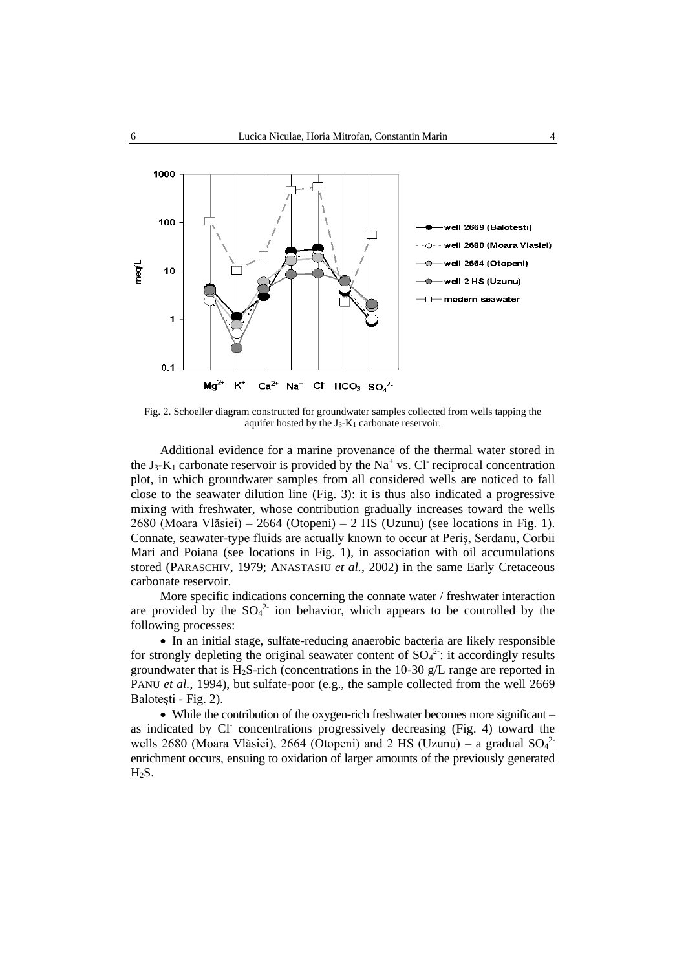

Fig. 2. Schoeller diagram constructed for groundwater samples collected from wells tapping the aquifer hosted by the J3-K<sup>1</sup> carbonate reservoir.

Additional evidence for a marine provenance of the thermal water stored in the  $J_3$ - $K_1$  carbonate reservoir is provided by the Na<sup>+</sup> vs. Cl<sup>-</sup> reciprocal concentration plot, in which groundwater samples from all considered wells are noticed to fall close to the seawater dilution line (Fig. 3): it is thus also indicated a progressive mixing with freshwater, whose contribution gradually increases toward the wells 2680 (Moara Vlăsiei) – 2664 (Otopeni) – 2 HS (Uzunu) (see locations in Fig. 1). Connate, seawater-type fluids are actually known to occur at Periş, Serdanu, Corbii Mari and Poiana (see locations in Fig. 1), in association with oil accumulations stored (PARASCHIV, 1979; ANASTASIU *et al.*, 2002) in the same Early Cretaceous carbonate reservoir.

More specific indications concerning the connate water / freshwater interaction are provided by the  $SO_4^2$  ion behavior, which appears to be controlled by the following processes:

 In an initial stage, sulfate-reducing anaerobic bacteria are likely responsible for strongly depleting the original seawater content of  $SO<sub>4</sub><sup>2</sup>$ : it accordingly results groundwater that is  $H_2S$ -rich (concentrations in the 10-30 g/L range are reported in PANU *et al.*, 1994), but sulfate-poor (e.g., the sample collected from the well 2669 Baloteşti - Fig. 2).

• While the contribution of the oxygen-rich freshwater becomes more significant – as indicated by Cl<sup>-</sup> concentrations progressively decreasing (Fig. 4) toward the wells 2680 (Moara Vlăsiei), 2664 (Otopeni) and 2 HS (Uzunu) – a gradual  $SO<sub>4</sub><sup>2</sup>$ enrichment occurs, ensuing to oxidation of larger amounts of the previously generated H2S.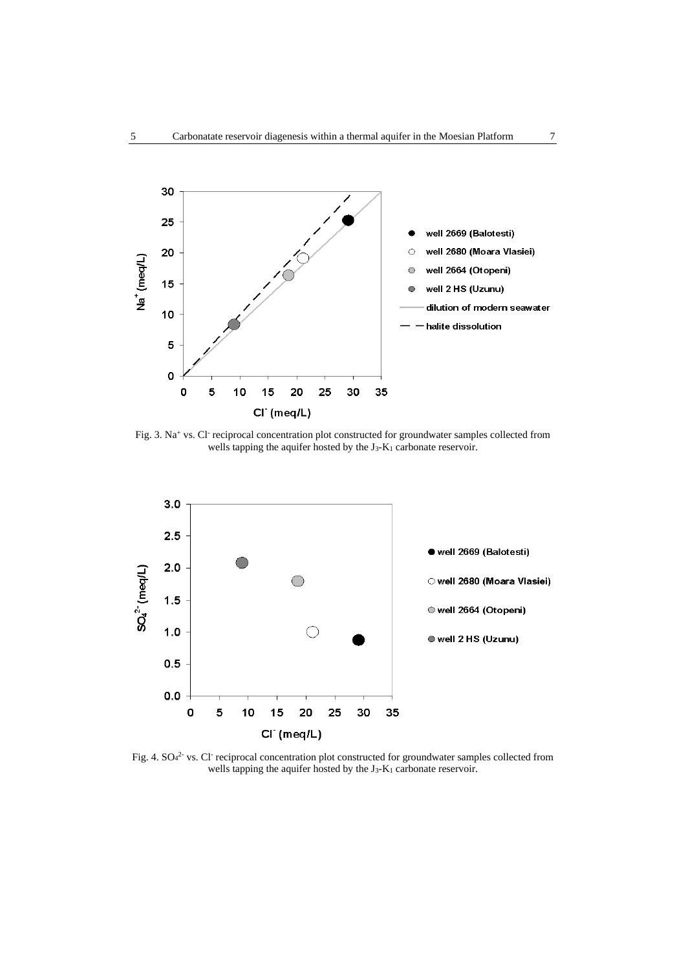

Fig. 3. Na<sup>+</sup> vs. Cl<sup>-</sup> reciprocal concentration plot constructed for groundwater samples collected from wells tapping the aquifer hosted by the J<sub>3</sub>-K<sub>1</sub> carbonate reservoir.



Fig. 4. SO<sub>4</sub><sup>2</sup> vs. Cl<sup>-</sup> reciprocal concentration plot constructed for groundwater samples collected from wells tapping the aquifer hosted by the J<sub>3</sub>-K<sub>1</sub> carbonate reservoir.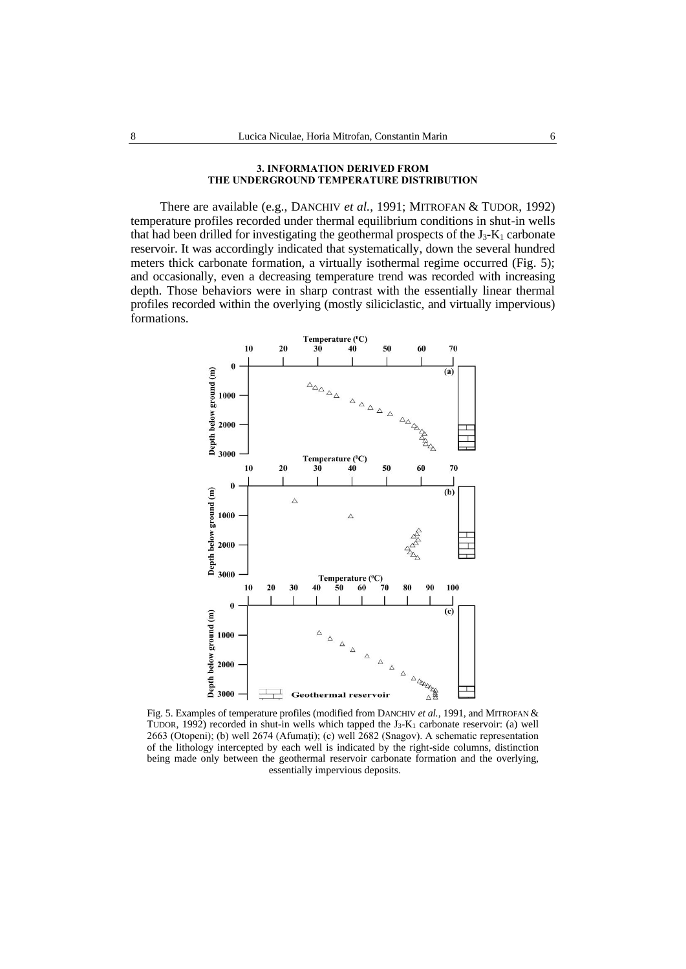#### **3. INFORMATION DERIVED FROM THE UNDERGROUND TEMPERATURE DISTRIBUTION**

There are available (e.g., DANCHIV *et al.*, 1991; MITROFAN & TUDOR, 1992) temperature profiles recorded under thermal equilibrium conditions in shut-in wells that had been drilled for investigating the geothermal prospects of the  $J_3-K_1$  carbonate reservoir. It was accordingly indicated that systematically, down the several hundred meters thick carbonate formation, a virtually isothermal regime occurred (Fig. 5); and occasionally, even a decreasing temperature trend was recorded with increasing depth. Those behaviors were in sharp contrast with the essentially linear thermal profiles recorded within the overlying (mostly siliciclastic, and virtually impervious) formations.



Fig. 5. Examples of temperature profiles (modified from DANCHIV *et al.*, 1991, and MITROFAN & TUDOR, 1992) recorded in shut-in wells which tapped the  $J_3-K_1$  carbonate reservoir: (a) well 2663 (Otopeni); (b) well 2674 (Afumaţi); (c) well 2682 (Snagov). A schematic representation of the lithology intercepted by each well is indicated by the right-side columns, distinction being made only between the geothermal reservoir carbonate formation and the overlying, essentially impervious deposits.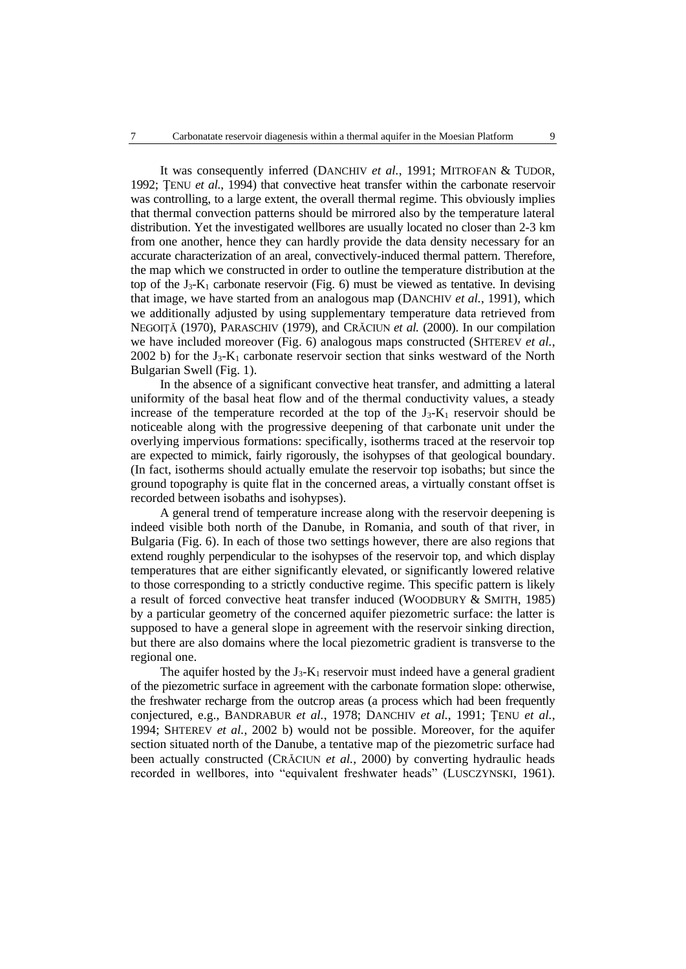It was consequently inferred (DANCHIV *et al.*, 1991; MITROFAN & TUDOR, 1992; ŢENU *et al.*, 1994) that convective heat transfer within the carbonate reservoir was controlling, to a large extent, the overall thermal regime. This obviously implies that thermal convection patterns should be mirrored also by the temperature lateral distribution. Yet the investigated wellbores are usually located no closer than 2-3 km from one another, hence they can hardly provide the data density necessary for an accurate characterization of an areal, convectively-induced thermal pattern. Therefore, the map which we constructed in order to outline the temperature distribution at the top of the  $J_3-K_1$  carbonate reservoir (Fig. 6) must be viewed as tentative. In devising that image, we have started from an analogous map (DANCHIV *et al.*, 1991), which we additionally adjusted by using supplementary temperature data retrieved from NEGOIŢĂ (1970), PARASCHIV (1979), and CRĂCIUN *et al.* (2000). In our compilation we have included moreover (Fig. 6) analogous maps constructed (SHTEREV *et al.*, 2002 b) for the  $J_3$ -K<sub>1</sub> carbonate reservoir section that sinks westward of the North Bulgarian Swell (Fig. 1).

In the absence of a significant convective heat transfer, and admitting a lateral uniformity of the basal heat flow and of the thermal conductivity values, a steady increase of the temperature recorded at the top of the  $J_3-K_1$  reservoir should be noticeable along with the progressive deepening of that carbonate unit under the overlying impervious formations: specifically, isotherms traced at the reservoir top are expected to mimick, fairly rigorously, the isohypses of that geological boundary. (In fact, isotherms should actually emulate the reservoir top isobaths; but since the ground topography is quite flat in the concerned areas, a virtually constant offset is recorded between isobaths and isohypses).

A general trend of temperature increase along with the reservoir deepening is indeed visible both north of the Danube, in Romania, and south of that river, in Bulgaria (Fig. 6). In each of those two settings however, there are also regions that extend roughly perpendicular to the isohypses of the reservoir top, and which display temperatures that are either significantly elevated, or significantly lowered relative to those corresponding to a strictly conductive regime. This specific pattern is likely a result of forced convective heat transfer induced (WOODBURY & SMITH, 1985) by a particular geometry of the concerned aquifer piezometric surface: the latter is supposed to have a general slope in agreement with the reservoir sinking direction, but there are also domains where the local piezometric gradient is transverse to the regional one.

The aquifer hosted by the  $J_3$ - $K_1$  reservoir must indeed have a general gradient of the piezometric surface in agreement with the carbonate formation slope: otherwise, the freshwater recharge from the outcrop areas (a process which had been frequently conjectured, e.g., BANDRABUR *et al.*, 1978; DANCHIV *et al.*, 1991; ŢENU *et al.*, 1994; SHTEREV *et al.*, 2002 b) would not be possible. Moreover, for the aquifer section situated north of the Danube, a tentative map of the piezometric surface had been actually constructed (CRĂCIUN *et al.*, 2000) by converting hydraulic heads recorded in wellbores, into "equivalent freshwater heads" (LUSCZYNSKI, 1961).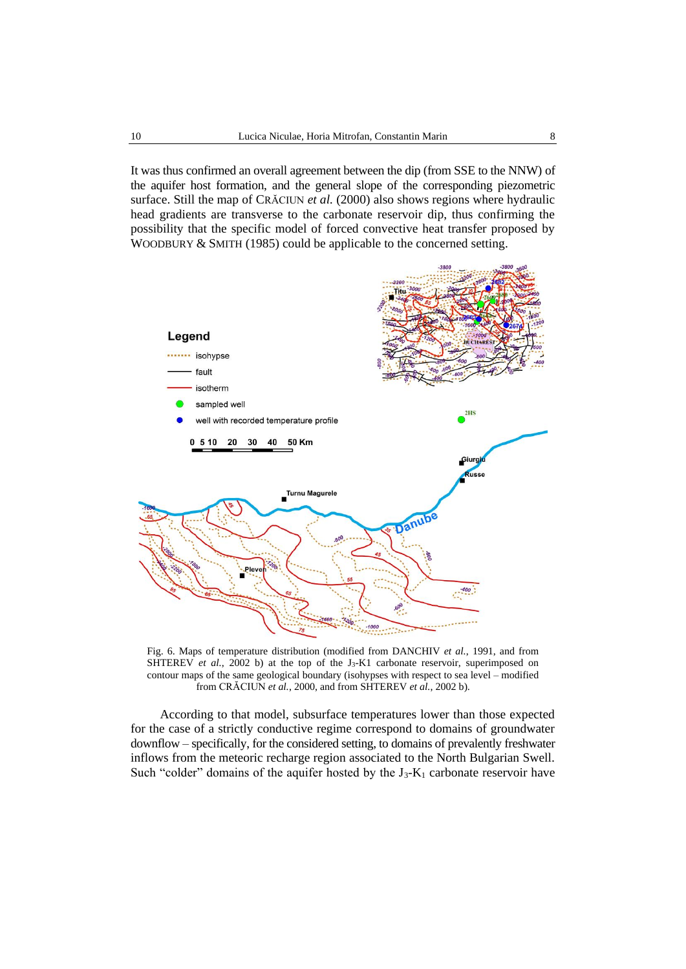It was thus confirmed an overall agreement between the dip (from SSE to the NNW) of the aquifer host formation, and the general slope of the corresponding piezometric surface. Still the map of CRĂCIUN *et al.* (2000) also shows regions where hydraulic head gradients are transverse to the carbonate reservoir dip, thus confirming the possibility that the specific model of forced convective heat transfer proposed by WOODBURY & SMITH (1985) could be applicable to the concerned setting.



Fig. 6. Maps of temperature distribution (modified from DANCHIV *et al.*, 1991, and from SHTEREV *et al.*, 2002 b) at the top of the J<sub>3</sub>-K1 carbonate reservoir, superimposed on contour maps of the same geological boundary (isohypses with respect to sea level – modified from CRĂCIUN *et al.*, 2000, and from SHTEREV *et al.*, 2002 b).

According to that model, subsurface temperatures lower than those expected for the case of a strictly conductive regime correspond to domains of groundwater downflow – specifically, for the considered setting, to domains of prevalently freshwater inflows from the meteoric recharge region associated to the North Bulgarian Swell. Such "colder" domains of the aquifer hosted by the  $J_3-K_1$  carbonate reservoir have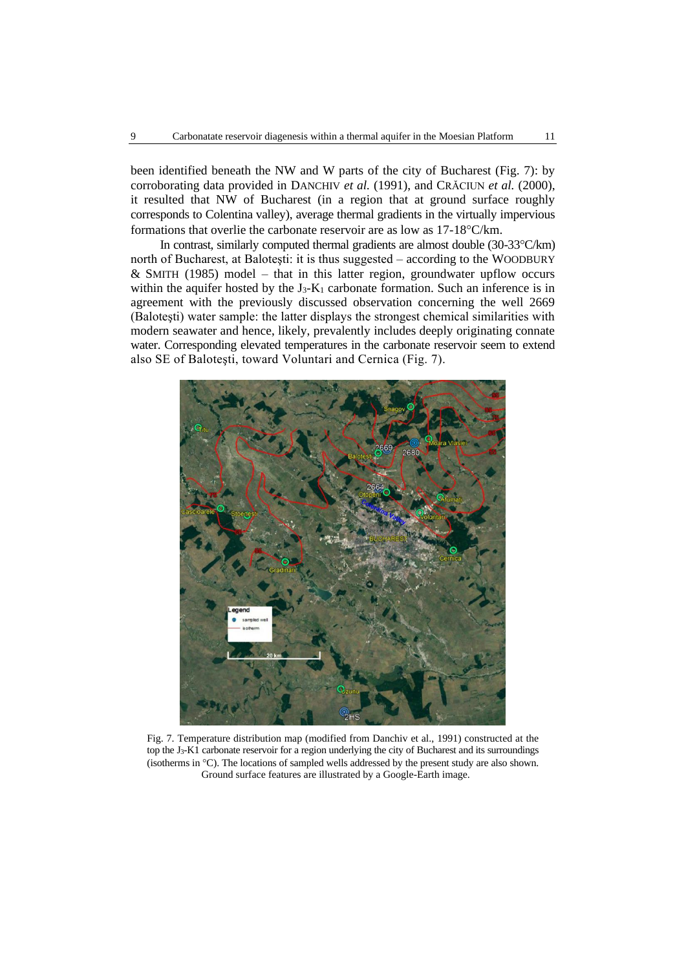been identified beneath the NW and W parts of the city of Bucharest (Fig. 7): by corroborating data provided in DANCHIV *et al.* (1991), and CRĂCIUN *et al.* (2000), it resulted that NW of Bucharest (in a region that at ground surface roughly corresponds to Colentina valley), average thermal gradients in the virtually impervious formations that overlie the carbonate reservoir are as low as  $17-18^{\circ}$ C/km.

In contrast, similarly computed thermal gradients are almost double  $(30-33^{\circ}C/km)$ north of Bucharest, at Baloteşti: it is thus suggested – according to the WOODBURY  $&$  SMITH (1985) model – that in this latter region, groundwater upflow occurs within the aquifer hosted by the  $J_3-K_1$  carbonate formation. Such an inference is in agreement with the previously discussed observation concerning the well 2669 (Baloteşti) water sample: the latter displays the strongest chemical similarities with modern seawater and hence, likely, prevalently includes deeply originating connate water. Corresponding elevated temperatures in the carbonate reservoir seem to extend also SE of Baloteşti, toward Voluntari and Cernica (Fig. 7).



Fig. 7. Temperature distribution map (modified from Danchiv et al., 1991) constructed at the top the J3-K1 carbonate reservoir for a region underlying the city of Bucharest and its surroundings (isotherms in  $^{\circ}$ C). The locations of sampled wells addressed by the present study are also shown. Ground surface features are illustrated by a Google-Earth image.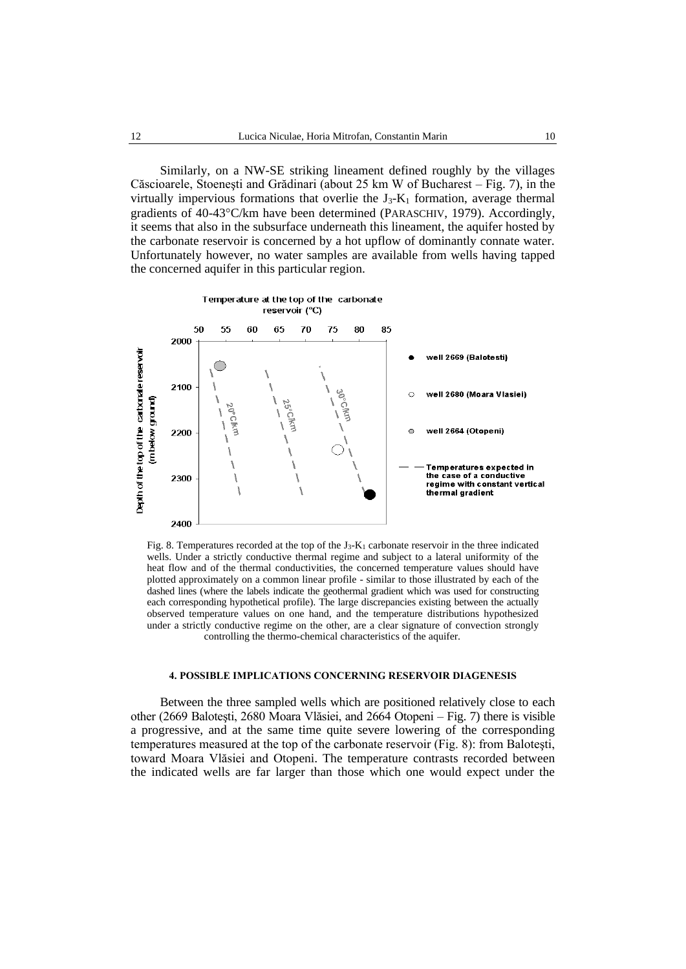Similarly, on a NW-SE striking lineament defined roughly by the villages Căscioarele, Stoeneşti and Grădinari (about 25 km W of Bucharest – Fig. 7), in the virtually impervious formations that overlie the  $J_3-K_1$  formation, average thermal gradients of  $40-43^{\circ}$ C/km have been determined (PARASCHIV, 1979). Accordingly, it seems that also in the subsurface underneath this lineament, the aquifer hosted by the carbonate reservoir is concerned by a hot upflow of dominantly connate water. Unfortunately however, no water samples are available from wells having tapped the concerned aquifer in this particular region.



Fig. 8. Temperatures recorded at the top of the J3-K<sup>1</sup> carbonate reservoir in the three indicated wells. Under a strictly conductive thermal regime and subject to a lateral uniformity of the heat flow and of the thermal conductivities, the concerned temperature values should have plotted approximately on a common linear profile - similar to those illustrated by each of the dashed lines (where the labels indicate the geothermal gradient which was used for constructing each corresponding hypothetical profile). The large discrepancies existing between the actually observed temperature values on one hand, and the temperature distributions hypothesized under a strictly conductive regime on the other, are a clear signature of convection strongly controlling the thermo-chemical characteristics of the aquifer.

#### **4. POSSIBLE IMPLICATIONS CONCERNING RESERVOIR DIAGENESIS**

Between the three sampled wells which are positioned relatively close to each other (2669 Baloteşti, 2680 Moara Vlăsiei, and 2664 Otopeni – Fig. 7) there is visible a progressive, and at the same time quite severe lowering of the corresponding temperatures measured at the top of the carbonate reservoir (Fig. 8): from Baloteşti, toward Moara Vlăsiei and Otopeni. The temperature contrasts recorded between the indicated wells are far larger than those which one would expect under the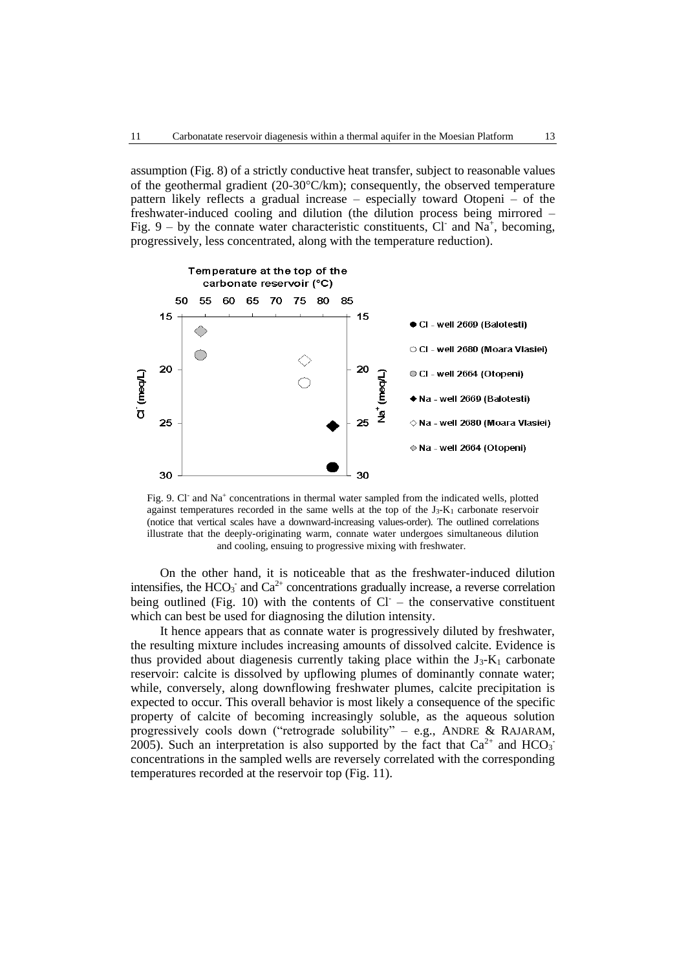assumption (Fig. 8) of a strictly conductive heat transfer, subject to reasonable values of the geothermal gradient (20-30 $\textdegree$ C/km); consequently, the observed temperature pattern likely reflects a gradual increase – especially toward Otopeni – of the freshwater-induced cooling and dilution (the dilution process being mirrored – Fig. 9 – by the connate water characteristic constituents, Cl and Na<sup>+</sup>, becoming, progressively, less concentrated, along with the temperature reduction).



Fig. 9. Cl<sup>-</sup> and Na<sup>+</sup> concentrations in thermal water sampled from the indicated wells, plotted against temperatures recorded in the same wells at the top of the J3-K<sup>1</sup> carbonate reservoir (notice that vertical scales have a downward-increasing values-order). The outlined correlations illustrate that the deeply-originating warm, connate water undergoes simultaneous dilution and cooling, ensuing to progressive mixing with freshwater.

On the other hand, it is noticeable that as the freshwater-induced dilution intensifies, the  $HCO_3^-$  and  $Ca^{2+}$  concentrations gradually increase, a reverse correlation being outlined (Fig. 10) with the contents of  $Cl^-$  – the conservative constituent which can best be used for diagnosing the dilution intensity.

It hence appears that as connate water is progressively diluted by freshwater, the resulting mixture includes increasing amounts of dissolved calcite. Evidence is thus provided about diagenesis currently taking place within the  $J_3-K_1$  carbonate reservoir: calcite is dissolved by upflowing plumes of dominantly connate water; while, conversely, along downflowing freshwater plumes, calcite precipitation is expected to occur. This overall behavior is most likely a consequence of the specific property of calcite of becoming increasingly soluble, as the aqueous solution progressively cools down ("retrograde solubility" – e.g., ANDRE & RAJARAM, 2005). Such an interpretation is also supported by the fact that  $Ca^{2+}$  and  $HCO_3^$ concentrations in the sampled wells are reversely correlated with the corresponding temperatures recorded at the reservoir top (Fig. 11).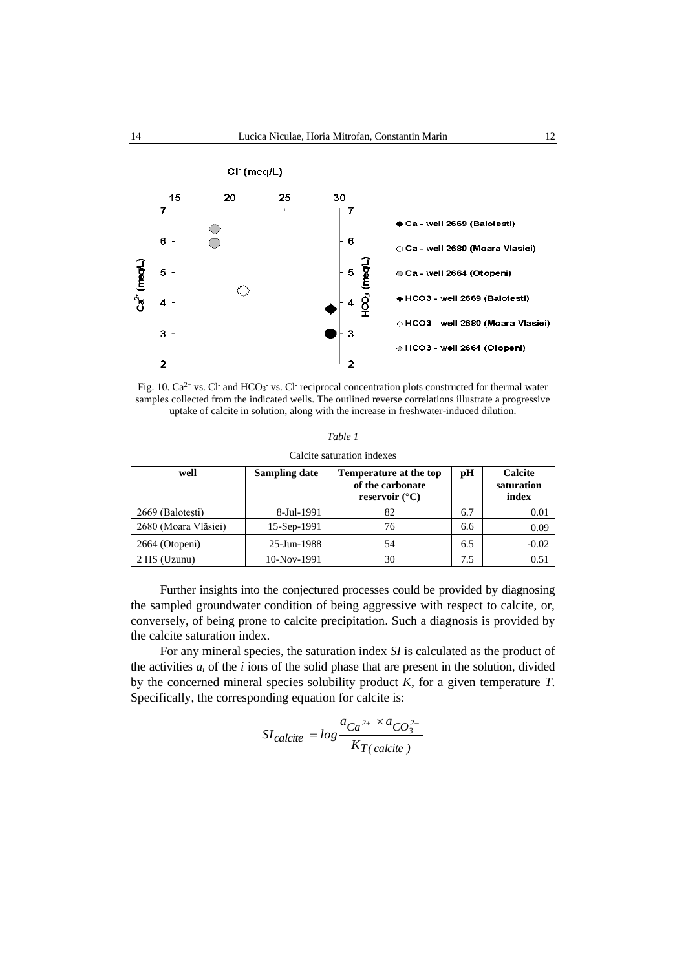

Fig. 10.  $Ca^{2+}$  vs. Cl and HCO<sub>3</sub> vs. Cl reciprocal concentration plots constructed for thermal water samples collected from the indicated wells. The outlined reverse correlations illustrate a progressive uptake of calcite in solution, along with the increase in freshwater-induced dilution.

| Calcite saturation indexes |  |
|----------------------------|--|
|                            |  |

| well                 | Sampling date | <b>Temperature at the top</b><br>of the carbonate<br>reservoir $(^{\circ}C)$ | pH  | Calcite<br>saturation<br>index |
|----------------------|---------------|------------------------------------------------------------------------------|-----|--------------------------------|
| 2669 (Balotesti)     | 8-Jul-1991    | 82                                                                           | 6.7 | 0.01                           |
| 2680 (Moara Vlăsiei) | $15-Sep-1991$ | 76                                                                           | 6.6 | 0.09                           |
| 2664 (Otopeni)       | 25-Jun-1988   | 54                                                                           | 6.5 | $-0.02$                        |
| $2$ HS (Uzunu)       | 10-Nov-1991   | 30                                                                           | 7.5 | 0.51                           |

Further insights into the conjectured processes could be provided by diagnosing the sampled groundwater condition of being aggressive with respect to calcite, or, conversely, of being prone to calcite precipitation. Such a diagnosis is provided by the calcite saturation index.

For any mineral species, the saturation index *SI* is calculated as the product of the activities  $a_i$  of the  $i$  ions of the solid phase that are present in the solution, divided by the concerned mineral species solubility product *K*, for a given temperature *T*. Specifically, the corresponding equation for calcite is:

$$
SI_{calcite} = log \frac{a_{Ca^{2+}} \times a_{CO_3^{2-}}}{K_{T(calcite)}}
$$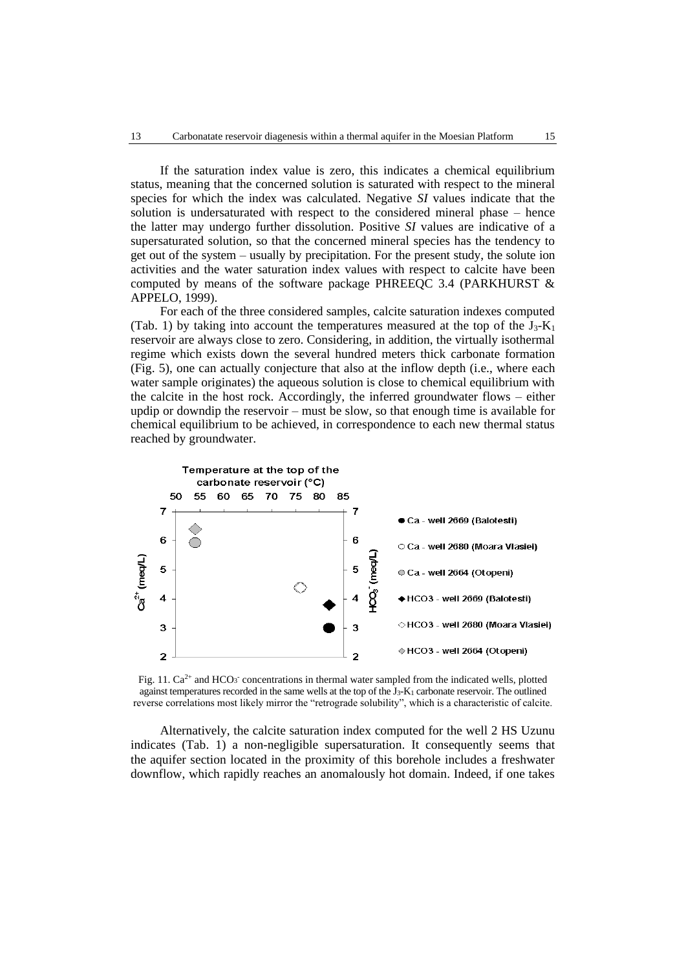If the saturation index value is zero, this indicates a chemical equilibrium status, meaning that the concerned solution is saturated with respect to the mineral species for which the index was calculated. Negative *SI* values indicate that the solution is undersaturated with respect to the considered mineral phase – hence the latter may undergo further dissolution. Positive *SI* values are indicative of a supersaturated solution, so that the concerned mineral species has the tendency to get out of the system – usually by precipitation. For the present study, the solute ion activities and the water saturation index values with respect to calcite have been computed by means of the software package PHREEQC 3.4 (PARKHURST & APPELO, 1999).

For each of the three considered samples, calcite saturation indexes computed (Tab. 1) by taking into account the temperatures measured at the top of the  $J_3-K_1$ reservoir are always close to zero. Considering, in addition, the virtually isothermal regime which exists down the several hundred meters thick carbonate formation (Fig. 5), one can actually conjecture that also at the inflow depth (i.e., where each water sample originates) the aqueous solution is close to chemical equilibrium with the calcite in the host rock. Accordingly, the inferred groundwater flows – either updip or downdip the reservoir – must be slow, so that enough time is available for chemical equilibrium to be achieved, in correspondence to each new thermal status reached by groundwater.



Fig. 11.  $Ca^{2+}$  and HCO<sub>3</sub><sup>-</sup> concentrations in thermal water sampled from the indicated wells, plotted against temperatures recorded in the same wells at the top of the  $J_3$ - $K_1$  carbonate reservoir. The outlined reverse correlations most likely mirror the "retrograde solubility", which is a characteristic of calcite.

Alternatively, the calcite saturation index computed for the well 2 HS Uzunu indicates (Tab. 1) a non-negligible supersaturation. It consequently seems that the aquifer section located in the proximity of this borehole includes a freshwater downflow, which rapidly reaches an anomalously hot domain. Indeed, if one takes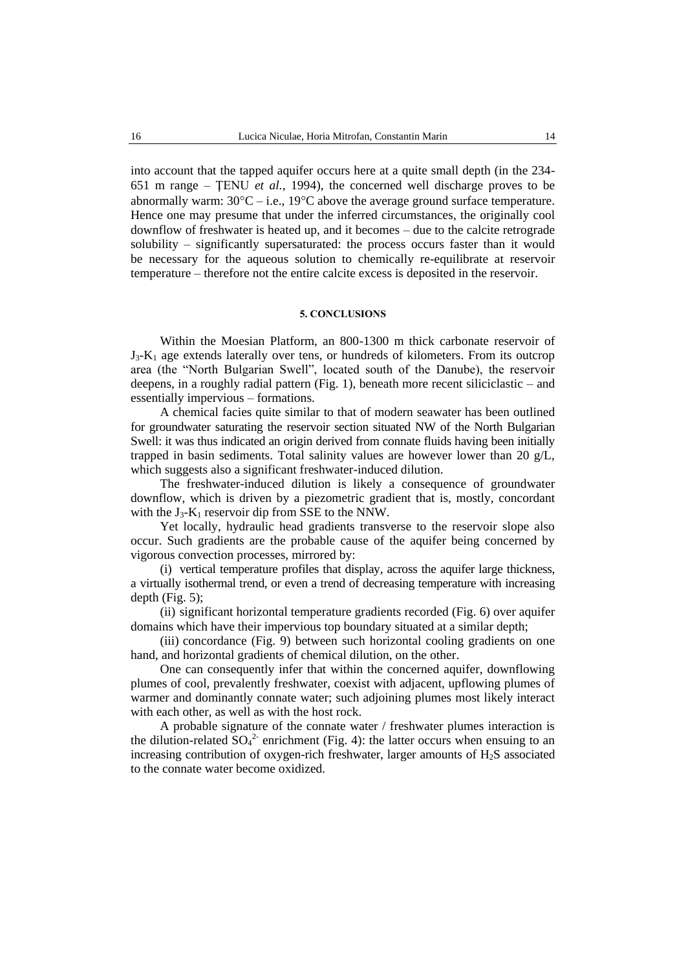into account that the tapped aquifer occurs here at a quite small depth (in the 234- 651 m range – ŢENU *et al.*, 1994), the concerned well discharge proves to be abnormally warm:  $30^{\circ}$ C – i.e., 19 $^{\circ}$ C above the average ground surface temperature. Hence one may presume that under the inferred circumstances, the originally cool downflow of freshwater is heated up, and it becomes – due to the calcite retrograde solubility – significantly supersaturated: the process occurs faster than it would be necessary for the aqueous solution to chemically re-equilibrate at reservoir temperature – therefore not the entire calcite excess is deposited in the reservoir.

## **5. CONCLUSIONS**

Within the Moesian Platform, an 800-1300 m thick carbonate reservoir of  $J_3-K_1$  age extends laterally over tens, or hundreds of kilometers. From its outcrop area (the "North Bulgarian Swell", located south of the Danube), the reservoir deepens, in a roughly radial pattern (Fig. 1), beneath more recent siliciclastic – and essentially impervious – formations.

A chemical facies quite similar to that of modern seawater has been outlined for groundwater saturating the reservoir section situated NW of the North Bulgarian Swell: it was thus indicated an origin derived from connate fluids having been initially trapped in basin sediments. Total salinity values are however lower than 20 g/L, which suggests also a significant freshwater-induced dilution.

The freshwater-induced dilution is likely a consequence of groundwater downflow, which is driven by a piezometric gradient that is, mostly, concordant with the  $J_3-K_1$  reservoir dip from SSE to the NNW.

Yet locally, hydraulic head gradients transverse to the reservoir slope also occur. Such gradients are the probable cause of the aquifer being concerned by vigorous convection processes, mirrored by:

(i) vertical temperature profiles that display, across the aquifer large thickness, a virtually isothermal trend, or even a trend of decreasing temperature with increasing depth (Fig. 5);

(ii) significant horizontal temperature gradients recorded (Fig. 6) over aquifer domains which have their impervious top boundary situated at a similar depth;

(iii) concordance (Fig. 9) between such horizontal cooling gradients on one hand, and horizontal gradients of chemical dilution, on the other.

One can consequently infer that within the concerned aquifer, downflowing plumes of cool, prevalently freshwater, coexist with adjacent, upflowing plumes of warmer and dominantly connate water; such adjoining plumes most likely interact with each other, as well as with the host rock.

A probable signature of the connate water / freshwater plumes interaction is the dilution-related  $SO_4^2$  enrichment (Fig. 4): the latter occurs when ensuing to an increasing contribution of oxygen-rich freshwater, larger amounts of H2S associated to the connate water become oxidized.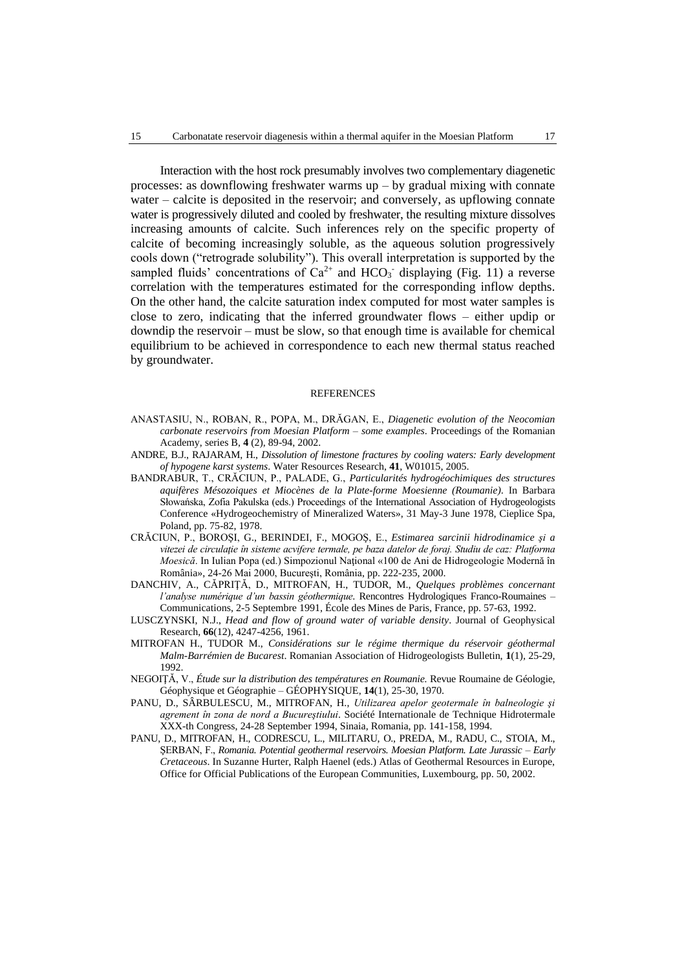Interaction with the host rock presumably involves two complementary diagenetic processes: as downflowing freshwater warms  $up - by$  gradual mixing with connate water – calcite is deposited in the reservoir; and conversely, as upflowing connate water is progressively diluted and cooled by freshwater, the resulting mixture dissolves increasing amounts of calcite. Such inferences rely on the specific property of calcite of becoming increasingly soluble, as the aqueous solution progressively cools down ("retrograde solubility"). This overall interpretation is supported by the sampled fluids' concentrations of  $Ca^{2+}$  and HCO<sub>3</sub> displaying (Fig. 11) a reverse correlation with the temperatures estimated for the corresponding inflow depths. On the other hand, the calcite saturation index computed for most water samples is close to zero, indicating that the inferred groundwater flows – either updip or downdip the reservoir – must be slow, so that enough time is available for chemical equilibrium to be achieved in correspondence to each new thermal status reached by groundwater.

#### REFERENCES

- ANASTASIU, N., ROBAN, R., POPA, M., DRĂGAN, E., *Diagenetic evolution of the Neocomian carbonate reservoirs from Moesian Platform – some examples*. Proceedings of the Romanian Academy, series B, **4** (2), 89-94, 2002.
- ANDRE, B.J., RAJARAM, H., *Dissolution of limestone fractures by cooling waters: Early development of hypogene karst systems*. Water Resources Research, **41**, W01015, 2005.
- BANDRABUR, T., CRĂCIUN, P., PALADE, G., *Particularités hydrogéochimiques des structures aquifères Mésozoiques et Miocènes de la Plate-forme Moesienne (Roumanie)*. In Barbara Słowańska, Zofia Pakulska (eds.) Proceedings of the International Association of Hydrogeologists Conference «Hydrogeochemistry of Mineralized Waters», 31 May-3 June 1978, Cieplice Spa, Poland, pp. 75-82, 1978.
- CRĂCIUN, P., BOROŞI, G., BERINDEI, F., MOGOŞ, E., *Estimarea sarcinii hidrodinamice şi a vitezei de circulaţie în sisteme acvifere termale, pe baza datelor de foraj. Studiu de caz: Platforma Moesică*. In Iulian Popa (ed.) Simpozionul Naţional «100 de Ani de Hidrogeologie Modernă în România», 24-26 Mai 2000, Bucureşti, România, pp. 222-235, 2000.
- DANCHIV, A., CĂPRIŢĂ, D., MITROFAN, H., TUDOR, M., *Quelques problèmes concernant l'analyse numérique d'un bassin géothermique*. Rencontres Hydrologiques Franco-Roumaines – Communications, 2-5 Septembre 1991, École des Mines de Paris, France, pp. 57-63, 1992.
- LUSCZYNSKI, N.J., *Head and flow of ground water of variable density*. Journal of Geophysical Research, **66**(12), 4247-4256, 1961.
- MITROFAN H., TUDOR M., *Considérations sur le régime thermique du réservoir géothermal Malm-Barrémien de Bucarest*. Romanian Association of Hidrogeologists Bulletin, **1**(1), 25-29, 1992.
- NEGOIŢĂ, V., *[Étude sur la distribution des températures en Roumanie.](http://www.geodin.ro/RRG/revue1970/negoita.htm)* Revue Roumaine de Géologie, Géophysique et Géographie – GÉOPHYSIQUE, **14**(1), 25-30, 1970.
- PANU, D., SÂRBULESCU, M., MITROFAN, H., *Utilizarea apelor geotermale în balneologie şi agrement în zona de nord a Bucureştiului*. Société Internationale de Technique Hidrotermale XXX-th Congress, 24-28 September 1994, Sinaia, Romania, pp. 141-158, 1994.
- PANU, D., MITROFAN, H., CODRESCU, L., MILITARU, O., PREDA, M., RADU, C., STOIA, M., ŞERBAN, F., *Romania. Potential geothermal reservoirs. Moesian Platform. Late Jurassic – Early Cretaceous*. In Suzanne Hurter, Ralph Haenel (eds.) Atlas of Geothermal Resources in Europe, Office for Official Publications of the European Communities, Luxembourg, pp. 50, 2002.